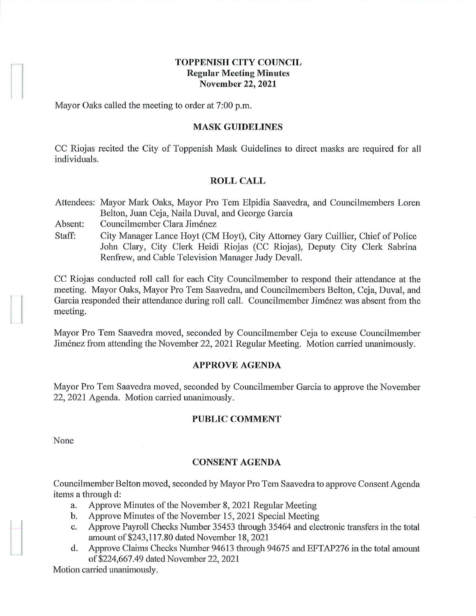## **TOPPENISH CITY COUNCIL Regular Meeting Minutes November 22, 2021**

Mayor Oaks called the meeting to order at 7:00 p.m.

#### **MASK GUIDELINES**

CC Riojas recited the City of Toppenish Mask Guidelines to direct masks are required for all individuals.

#### **ROLL CALL**

Attendees: Mayor Mark Oaks, Mayor Pro Tern Elpidia Saavedra, and Councilmembers Loren Belton, Juan Ceja, Naila Duval, and George Garcia

Absent: Councilmember Clara Jimenez

Staff: City Manager Lance Hoyt (CM Hoyt), City Attorney Gary Cuillier, Chief of Police John Clary, City Clerk Heidi Riojas (CC Riojas), Deputy City Clerk Sabrina Renfrew, and Cable Television Manager Judy Devall.

CC Riojas conducted roll call for each City Councilmember to respond their attendance at the meeting. Mayor Oaks, Mayor Pro Tem Saavedra, and Councilmembers Belton, Ceja, Duval, and Garcia responded their attendance during roll call. Councilmember Jimenez was absent from the meeting.

Mayor Pro Tem Saavedra moved, seconded by Councilmember Ceja to excuse Councilmember Jimenez from attending the November 22, 2021 Regular Meeting. Motion carried unanimously.

#### **APPROVE AGENDA**

Mayor Pro Tem Saavedra moved, seconded by Councilmember Garcia to approve the November 22, 2021 Agenda. Motion carried unanimously.

#### **PUBLIC COMMENT**

None

 $\mathbf{I}$ 

 $\begin{array}{c} \hline \end{array}$ 

### **CONSENT AGENDA**

Councilmember Belton moved, seconded by Mayor Pro Tern Saavedra to approve Consent Agenda items a through d:

- a. Approve Minutes of the November 8, 2021 Regular Meeting
- b. Approve Minutes of the November 15, 2021 Special Meeting
- c. Approve Payroll Checks Number 35453 through 35464 and electronic transfers in the total amountof\$243,117.80 dated November 18, 2021
- d. Approve Claims Checks Number 94613 through 94675 and EFTAP276 in the total amount of\$224,667.49 dated November 22, 2021

Motion carried unanimously.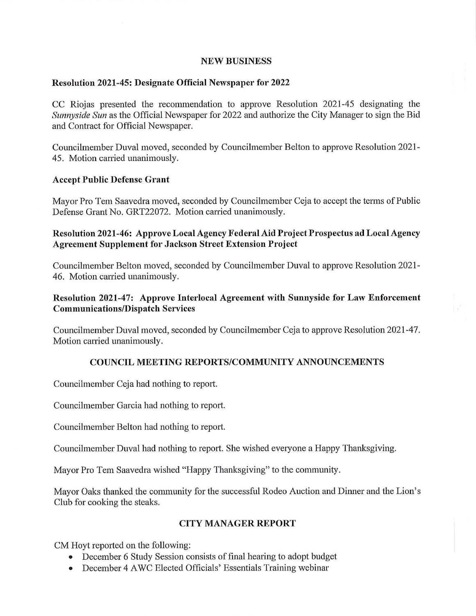### **NEW BUSINESS**

## **Resolution 2021-45: Designate Official Newspaper for 2022**

CC Riojas presented the reconunendation to approve Resolution 2021-45 designating the *Sunnyside Sun* as the Official Newspaper for 2022 and authorize the City Manager to sign the Bid and Contract for Official Newspaper.

Councilmember Duval moved, seconded by Councilmember Belton to approve Resolution 2021- 45. Motion carried unanimously.

## **Accept Public Defense Grant**

Mayor Pro Tem Saavedra moved, seconded by Councilmember Ceja to accept the terms of Public Defense Grant No. GRT22072. Motion carried unanimously.

# **Resolution 2021-46: Approve Local Agency Federal Aid Project Prospectus ad Local Agency Agreement Supplement for Jackson Street Extension Project**

Councilmember Belton moved, seconded by Councilmember Duval to approve Resolution 2021- 46. Motion carried unanimously.

# **Resolution 2021-47: Approve Interlocal Agreement with Sunnyside for Law Enforcement Communications/Dispatch Services**

Councilmember Duval moved, seconded by Councilmember Ceja to approve Resolution 2021-47. Motion carried unanimously.

## **COUNCIL MEETING REPORTS/COMMUNITY ANNOUNCEMENTS**

Councilmember Ceja had nothing to report.

Councilmember Garcia had nothing to report.

Councilmember Belton had nothing to report.

Councilmember Duval had nothing to report. She wished everyone a Happy Thanksgiving.

Mayor Pro Tem Saavedra wished "Happy Thanksgiving" to the community.

Mayor Oaks thanked the community for the successful Rodeo Auction and Dinner and the Lion's Club for cooking the steaks.

# **CITY MANAGER REPORT**

CM Hoyt reported on the following:

- December 6 Study Session consists of final hearing to adopt budget
- December 4 AWC Elected Officials' Essentials Training webinar